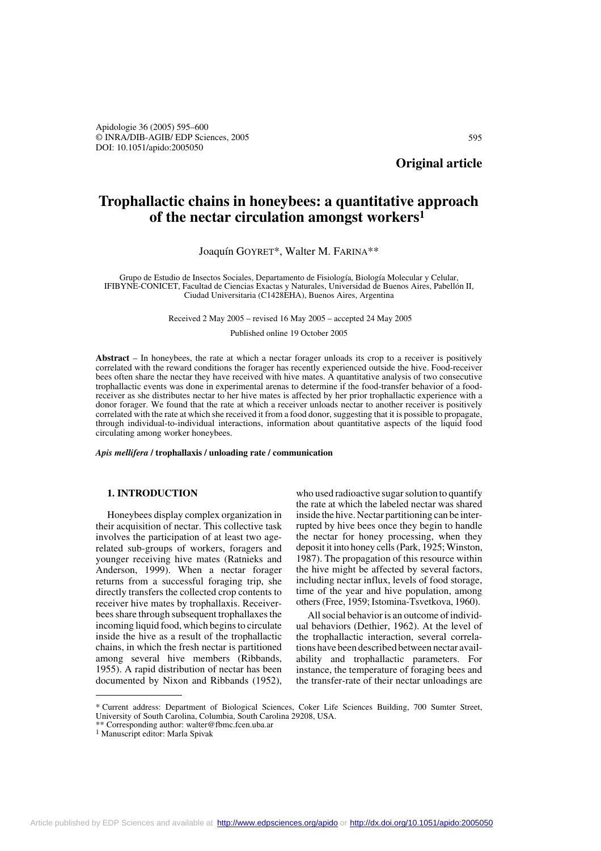**Original article**

# **Trophallactic chains in honeybees: a quantitative approach of the nectar circulation amongst workers1**

Joaquín GOYRET\*, Walter M. FARINA\*\*

Grupo de Estudio de Insectos Sociales, Departamento de Fisiología, Biología Molecular y Celular, IFIBYNE-CONICET, Facultad de Ciencias Exactas y Naturales, Universidad de Buenos Aires, Pabellón II, Ciudad Universitaria (C1428EHA), Buenos Aires, Argentina

Received 2 May 2005 – revised 16 May 2005 – accepted 24 May 2005

Published online 19 October 2005

**Abstract** – In honeybees, the rate at which a nectar forager unloads its crop to a receiver is positively correlated with the reward conditions the forager has recently experienced outside the hive. Food-receiver bees often share the nectar they have received with hive mates. A quantitative analysis of two consecutive trophallactic events was done in experimental arenas to determine if the food-transfer behavior of a foodreceiver as she distributes nectar to her hive mates is affected by her prior trophallactic experience with a donor forager. We found that the rate at which a receiver unloads nectar to another receiver is positively correlated with the rate at which she received it from a food donor, suggesting that it is possible to propagate, through individual-to-individual interactions, information about quantitative aspects of the liquid food circulating among worker honeybees.

*Apis mellifera* **/ trophallaxis / unloading rate / communication**

## **1. INTRODUCTION**

Honeybees display complex organization in their acquisition of nectar. This collective task involves the participation of at least two agerelated sub-groups of workers, foragers and younger receiving hive mates (Ratnieks and Anderson, 1999). When a nectar forager returns from a successful foraging trip, she directly transfers the collected crop contents to receiver hive mates by trophallaxis. Receiverbees share through subsequent trophallaxes the incoming liquid food, which begins to circulate inside the hive as a result of the trophallactic chains, in which the fresh nectar is partitioned among several hive members (Ribbands, 1955). A rapid distribution of nectar has been documented by Nixon and Ribbands (1952),

who used radioactive sugar solution to quantify the rate at which the labeled nectar was shared inside the hive. Nectar partitioning can be interrupted by hive bees once they begin to handle the nectar for honey processing, when they deposit it into honey cells (Park, 1925; Winston, 1987). The propagation of this resource within the hive might be affected by several factors, including nectar influx, levels of food storage, time of the year and hive population, among others (Free, 1959; Istomina-Tsvetkova, 1960).

All social behavior is an outcome of individual behaviors (Dethier, 1962). At the level of the trophallactic interaction, several correlations have been described between nectar availability and trophallactic parameters. For instance, the temperature of foraging bees and the transfer-rate of their nectar unloadings are

<sup>\*</sup> Current address: Department of Biological Sciences, Coker Life Sciences Building, 700 Sumter Street, University of South Carolina, Columbia, South Carolina 29208, USA.

<sup>\*\*</sup> Corresponding author: walter@fbmc.fcen.uba.ar

<sup>1</sup> Manuscript editor: Marla Spivak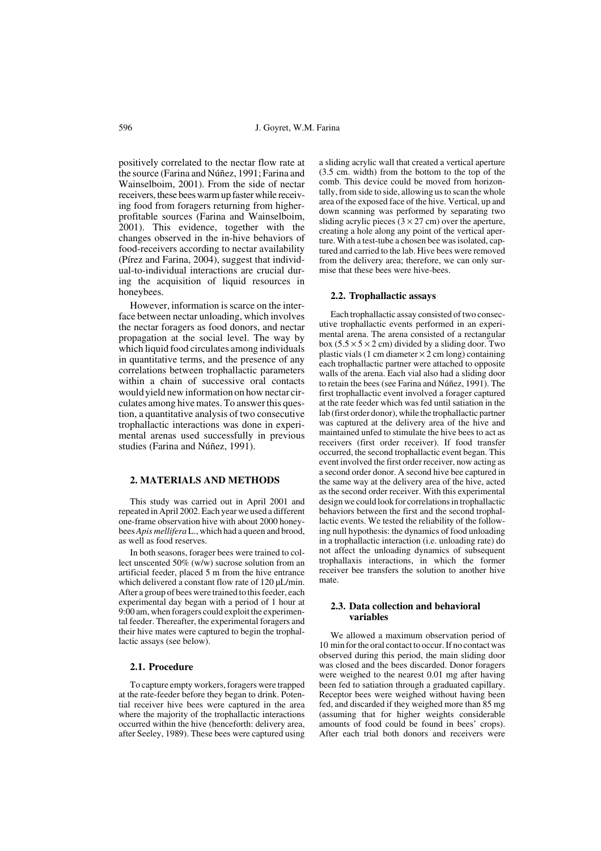positively correlated to the nectar flow rate at the source (Farina and Núñez, 1991; Farina and Wainselboim, 2001). From the side of nectar receivers, these bees warm up faster while receiving food from foragers returning from higherprofitable sources (Farina and Wainselboim, 2001). This evidence, together with the changes observed in the in-hive behaviors of food-receivers according to nectar availability (Pírez and Farina, 2004), suggest that individual-to-individual interactions are crucial during the acquisition of liquid resources in honeybees.

However, information is scarce on the interface between nectar unloading, which involves the nectar foragers as food donors, and nectar propagation at the social level. The way by which liquid food circulates among individuals in quantitative terms, and the presence of any correlations between trophallactic parameters within a chain of successive oral contacts would yield new information on how nectar circulates among hive mates. To answer this question, a quantitative analysis of two consecutive trophallactic interactions was done in experimental arenas used successfully in previous studies (Farina and Núñez, 1991).

## **2. MATERIALS AND METHODS**

This study was carried out in April 2001 and repeated in April 2002. Each year we used a different one-frame observation hive with about 2000 honeybees *Apis mellifera* L., which had a queen and brood, as well as food reserves.

In both seasons, forager bees were trained to collect unscented 50% (w/w) sucrose solution from an artificial feeder, placed 5 m from the hive entrance which delivered a constant flow rate of  $120 \text{ uL/min}$ . After a group of bees were trained to this feeder, each experimental day began with a period of 1 hour at 9:00 am, when foragers could exploit the experimental feeder. Thereafter, the experimental foragers and their hive mates were captured to begin the trophallactic assays (see below).

#### **2.1. Procedure**

To capture empty workers, foragers were trapped at the rate-feeder before they began to drink. Potential receiver hive bees were captured in the area where the majority of the trophallactic interactions occurred within the hive (henceforth: delivery area, after Seeley, 1989). These bees were captured using a sliding acrylic wall that created a vertical aperture (3.5 cm. width) from the bottom to the top of the comb. This device could be moved from horizontally, from side to side, allowing us to scan the whole area of the exposed face of the hive. Vertical, up and down scanning was performed by separating two sliding acrylic pieces  $(3 \times 27 \text{ cm})$  over the aperture, creating a hole along any point of the vertical aperture. With a test-tube a chosen bee was isolated, captured and carried to the lab. Hive bees were removed from the delivery area; therefore, we can only surmise that these bees were hive-bees.

#### **2.2. Trophallactic assays**

Each trophallactic assay consisted of two consecutive trophallactic events performed in an experimental arena. The arena consisted of a rectangular box  $(5.5 \times 5 \times 2$  cm) divided by a sliding door. Two plastic vials (1 cm diameter  $\times$  2 cm long) containing each trophallactic partner were attached to opposite walls of the arena. Each vial also had a sliding door to retain the bees (see Farina and Núñez, 1991). The first trophallactic event involved a forager captured at the rate feeder which was fed until satiation in the lab (first order donor), while the trophallactic partner was captured at the delivery area of the hive and maintained unfed to stimulate the hive bees to act as receivers (first order receiver). If food transfer occurred, the second trophallactic event began. This event involved the first order receiver, now acting as a second order donor. A second hive bee captured in the same way at the delivery area of the hive, acted as the second order receiver. With this experimental design we could look for correlations in trophallactic behaviors between the first and the second trophallactic events. We tested the reliability of the following null hypothesis: the dynamics of food unloading in a trophallactic interaction (i.e. unloading rate) do not affect the unloading dynamics of subsequent trophallaxis interactions, in which the former receiver bee transfers the solution to another hive mate.

## **2.3. Data collection and behavioral variables**

We allowed a maximum observation period of 10 min for the oral contact to occur. If no contact was observed during this period, the main sliding door was closed and the bees discarded. Donor foragers were weighed to the nearest 0.01 mg after having been fed to satiation through a graduated capillary. Receptor bees were weighed without having been fed, and discarded if they weighed more than 85 mg (assuming that for higher weights considerable amounts of food could be found in bees' crops). After each trial both donors and receivers were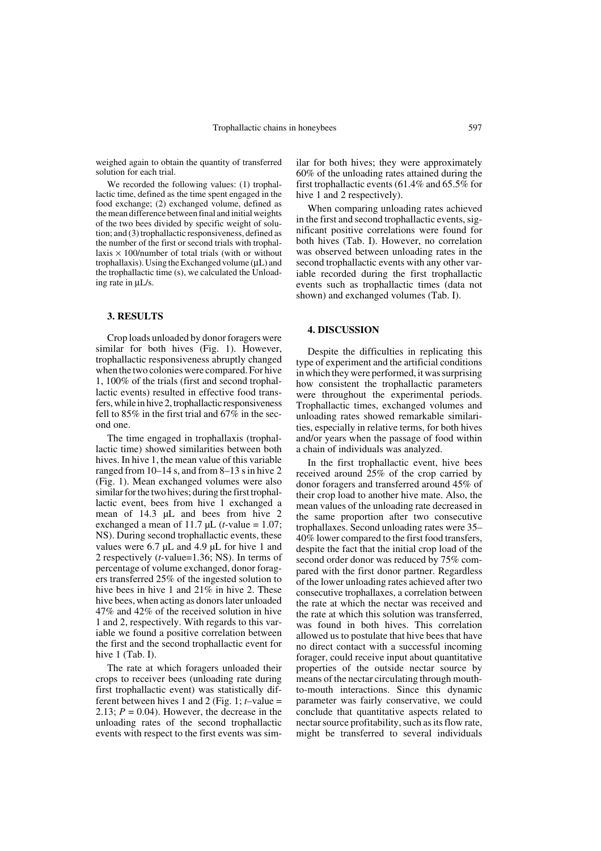weighed again to obtain the quantity of transferred solution for each trial.

We recorded the following values: (1) trophallactic time, defined as the time spent engaged in the food exchange; (2) exchanged volume, defined as the mean difference between final and initial weights of the two bees divided by specific weight of solution; and (3) trophallactic responsiveness, defined as the number of the first or second trials with trophallaxis  $\times$  100/number of total trials (with or without trophallaxis). Using the Exchanged volume  $(\mu L)$  and the trophallactic time (s), we calculated the Unloading rate in µL/s.

# **3. RESULTS**

Crop loads unloaded by donor foragers were similar for both hives (Fig. 1). However, trophallactic responsiveness abruptly changed when the two colonies were compared. For hive 1, 100% of the trials (first and second trophallactic events) resulted in effective food transfers, while in hive 2, trophallactic responsiveness fell to  $85\%$  in the first trial and  $67\%$  in the second one.

The time engaged in trophallaxis (trophallactic time) showed similarities between both hives. In hive 1, the mean value of this variable ranged from 10–14 s, and from 8–13 s in hive 2 (Fig. 1). Mean exchanged volumes were also similar for the two hives; during the first trophallactic event, bees from hive 1 exchanged a mean of 14.3 µL and bees from hive 2 exchanged a mean of 11.7  $\mu$ L (*t*-value = 1.07; NS). During second trophallactic events, these values were 6.7  $\mu$ L and 4.9  $\mu$ L for hive 1 and 2 respectively (*t*-value=1.36; NS). In terms of percentage of volume exchanged, donor foragers transferred 25% of the ingested solution to hive bees in hive 1 and 21% in hive 2. These hive bees, when acting as donors later unloaded 47% and 42% of the received solution in hive 1 and 2, respectively. With regards to this variable we found a positive correlation between the first and the second trophallactic event for hive 1 (Tab. I).

The rate at which foragers unloaded their crops to receiver bees (unloading rate during first trophallactic event) was statistically different between hives 1 and 2 (Fig. 1; *t*–value = 2.13;  $P = 0.04$ ). However, the decrease in the unloading rates of the second trophallactic events with respect to the first events was similar for both hives; they were approximately 60% of the unloading rates attained during the first trophallactic events (61.4% and 65.5% for hive 1 and 2 respectively).

When comparing unloading rates achieved in the first and second trophallactic events, significant positive correlations were found for both hives (Tab. I). However, no correlation was observed between unloading rates in the second trophallactic events with any other variable recorded during the first trophallactic events such as trophallactic times (data not shown) and exchanged volumes (Tab. I).

## **4. DISCUSSION**

Despite the difficulties in replicating this type of experiment and the artificial conditions in which they were performed, it was surprising how consistent the trophallactic parameters were throughout the experimental periods. Trophallactic times, exchanged volumes and unloading rates showed remarkable similarities, especially in relative terms, for both hives and/or years when the passage of food within a chain of individuals was analyzed.

In the first trophallactic event, hive bees received around 25% of the crop carried by donor foragers and transferred around 45% of their crop load to another hive mate. Also, the mean values of the unloading rate decreased in the same proportion after two consecutive trophallaxes. Second unloading rates were 35– 40% lower compared to the first food transfers, despite the fact that the initial crop load of the second order donor was reduced by 75% compared with the first donor partner. Regardless of the lower unloading rates achieved after two consecutive trophallaxes, a correlation between the rate at which the nectar was received and the rate at which this solution was transferred, was found in both hives. This correlation allowed us to postulate that hive bees that have no direct contact with a successful incoming forager, could receive input about quantitative properties of the outside nectar source by means of the nectar circulating through mouthto-mouth interactions. Since this dynamic parameter was fairly conservative, we could conclude that quantitative aspects related to nectar source profitability, such as its flow rate, might be transferred to several individuals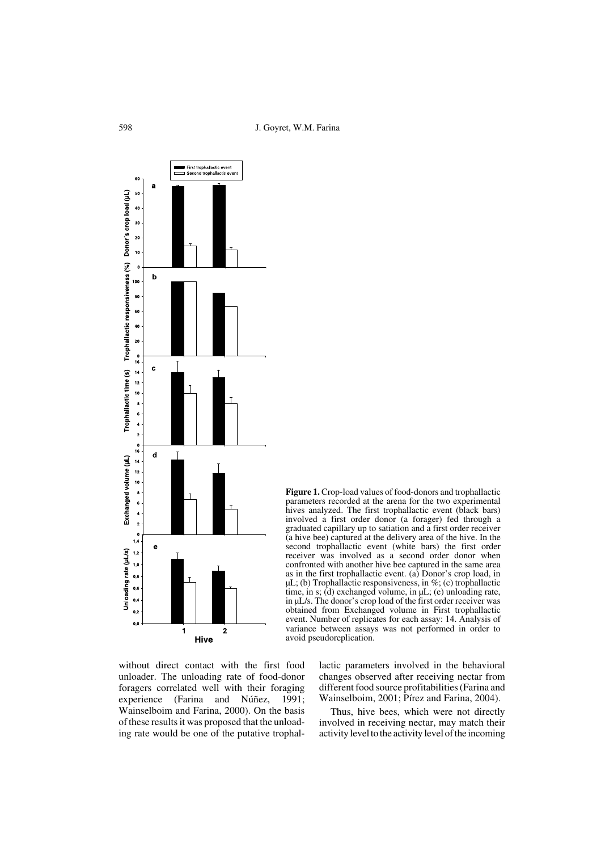

without direct contact with the first food unloader. The unloading rate of food-donor foragers correlated well with their foraging experience (Farina and Núñez, 1991; Wainselboim and Farina, 2000). On the basis of these results it was proposed that the unloading rate would be one of the putative trophal-

Figure 1. Crop-load values of food-donors and trophallactic parameters recorded at the arena for the two experimental hives analyzed. The first trophallactic event (black bars) involved a first order donor (a forager) fed through a graduated capillary up to satiation and a first order receiver (a hive bee) captured at the delivery area of the hive. In the second trophallactic event (white bars) the first order receiver was involved as a second order donor when confronted with another hive bee captured in the same area as in the first trophallactic event. (a) Donor's crop load, in  $\mu L$ ; (b) Trophallactic responsiveness, in %; (c) trophallactic time, in s;  $(d)$  exchanged volume, in  $\mu L$ ;  $(e)$  unloading rate, in µL/s. The donor's crop load of the first order receiver was obtained from Exchanged volume in First trophallactic event. Number of replicates for each assay: 14. Analysis of variance between assays was not performed in order to avoid pseudoreplication.

lactic parameters involved in the behavioral changes observed after receiving nectar from different food source profitabilities (Farina and Wainselboim, 2001; Pírez and Farina, 2004).

Thus, hive bees, which were not directly involved in receiving nectar, may match their activity level to the activity level of the incoming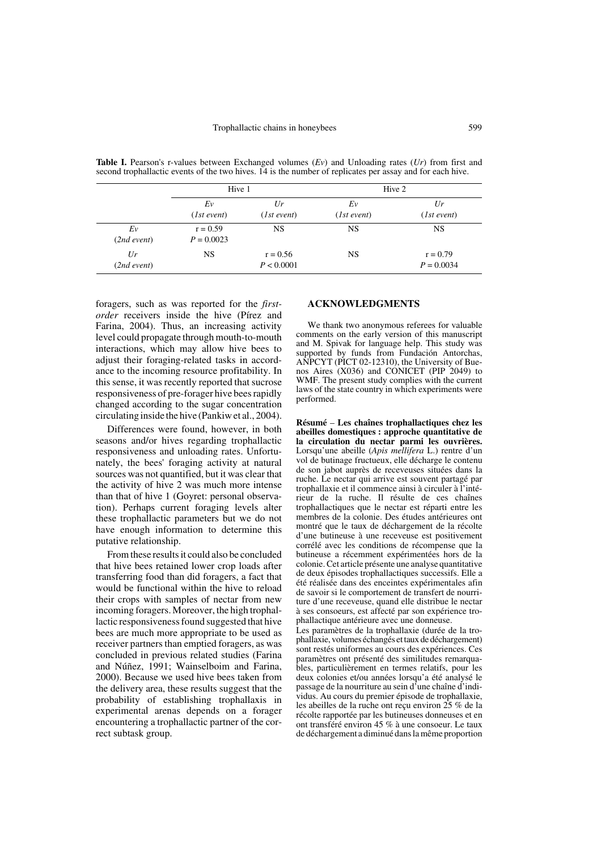|                      | Hive 1                     |                          | Hive 2            |                            |
|----------------------|----------------------------|--------------------------|-------------------|----------------------------|
|                      | Ev<br>(1st event)          | Ur<br>(1st event)        | Eν<br>(1st event) | Ur<br>(1st event)          |
| Ev<br>(2nd event)    | $r = 0.59$<br>$P = 0.0023$ | <b>NS</b>                | <b>NS</b>         | <b>NS</b>                  |
| $U_r$<br>(2nd event) | NS                         | $r = 0.56$<br>P < 0.0001 | <b>NS</b>         | $r = 0.79$<br>$P = 0.0034$ |

**Table I.** Pearson's r-values between Exchanged volumes (*Ev*) and Unloading rates (*Ur*) from first and second trophallactic events of the two hives.  $14$  is the number of replicates per assay and for each hive.

foragers, such as was reported for the *firstorder* receivers inside the hive (Pírez and Farina, 2004). Thus, an increasing activity level could propagate through mouth-to-mouth interactions, which may allow hive bees to adjust their foraging-related tasks in accordance to the incoming resource profitability. In this sense, it was recently reported that sucrose responsiveness of pre-forager hive bees rapidly changed according to the sugar concentration circulating inside the hive (Pankiw et al., 2004).

Differences were found, however, in both seasons and/or hives regarding trophallactic responsiveness and unloading rates. Unfortunately, the bees' foraging activity at natural sources was not quantified, but it was clear that the activity of hive 2 was much more intense than that of hive 1 (Goyret: personal observation). Perhaps current foraging levels alter these trophallactic parameters but we do not have enough information to determine this putative relationship.

From these results it could also be concluded that hive bees retained lower crop loads after transferring food than did foragers, a fact that would be functional within the hive to reload their crops with samples of nectar from new incoming foragers. Moreover, the high trophallactic responsiveness found suggested that hive bees are much more appropriate to be used as receiver partners than emptied foragers, as was concluded in previous related studies (Farina and Núñez, 1991; Wainselboim and Farina, 2000). Because we used hive bees taken from the delivery area, these results suggest that the probability of establishing trophallaxis in experimental arenas depends on a forager encountering a trophallactic partner of the correct subtask group.

# **ACKNOWLEDGMENTS**

We thank two anonymous referees for valuable comments on the early version of this manuscript and M. Spivak for language help. This study was supported by funds from Fundación Antorchas, ANPCYT (PICT 02-12310), the University of Buenos Aires (X036) and CONICET (PIP 2049) to WMF. The present study complies with the current laws of the state country in which experiments were performed.

**Résumé** – **Les chaînes trophallactiques chez les abeilles domestiques : approche quantitative de la circulation du nectar parmi les ouvrières.** Lorsqu'une abeille (*Apis mellifera* L.) rentre d'un vol de butinage fructueux, elle décharge le contenu de son jabot auprès de receveuses situées dans la ruche. Le nectar qui arrive est souvent partagé par trophallaxie et il commence ainsi à circuler à l'intérieur de la ruche. Il résulte de ces chaînes trophallactiques que le nectar est réparti entre les membres de la colonie. Des études antérieures ont montré que le taux de déchargement de la récolte d'une butineuse à une receveuse est positivement corrélé avec les conditions de récompense que la butineuse a récemment expérimentées hors de la colonie. Cet article présente une analyse quantitative de deux épisodes trophallactiques successifs. Elle a été réalisée dans des enceintes expérimentales afin de savoir si le comportement de transfert de nourriture d'une receveuse, quand elle distribue le nectar à ses consoeurs, est affecté par son expérience trophallactique antérieure avec une donneuse.

Les paramètres de la trophallaxie (durée de la trophallaxie, volumes échangés et taux de déchargement) sont restés uniformes au cours des expériences. Ces paramètres ont présenté des similitudes remarquables, particulièrement en termes relatifs, pour les deux colonies et/ou années lorsqu'a été analysé le passage de la nourriture au sein d'une chaîne d'individus. Au cours du premier épisode de trophallaxie, les abeilles de la ruche ont reçu environ 25 % de la récolte rapportée par les butineuses donneuses et en ont transféré environ 45 % à une consoeur. Le taux de déchargement a diminué dans la même proportion